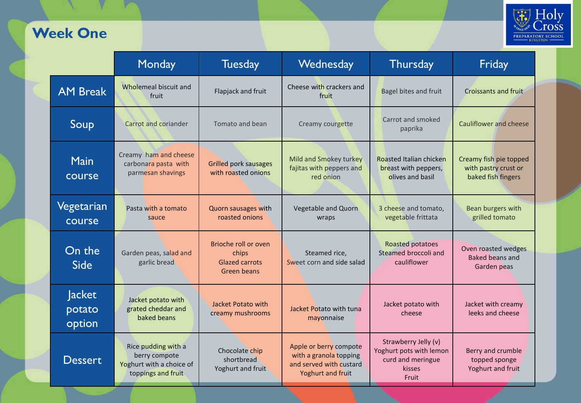## **Week One**



|                            | Monday                                                                                 | <b>Tuesday</b>                                                        | Wednesday                                                                                        | Thursday                                                                                | Friday                                                               |
|----------------------------|----------------------------------------------------------------------------------------|-----------------------------------------------------------------------|--------------------------------------------------------------------------------------------------|-----------------------------------------------------------------------------------------|----------------------------------------------------------------------|
| <b>AM Break</b>            | Wholemeal biscuit and<br>fruit                                                         | Flapjack and fruit                                                    | Cheese with crackers and<br>fruit                                                                | <b>Bagel bites and fruit</b>                                                            | <b>Croissants and fruit</b>                                          |
| Soup                       | Carrot and coriander                                                                   | Tomato and bean                                                       | Creamy courgette                                                                                 | Carrot and smoked<br>paprika                                                            | <b>Cauliflower and cheese</b>                                        |
| <b>Main</b><br>course      | Creamy ham and cheese<br>carbonara pasta with<br>parmesan shavings                     | <b>Grilled pork sausages</b><br>with roasted onions                   | Mild and Smokey turkey<br>fajitas with peppers and<br>red onion                                  | Roasted Italian chicken<br>breast with peppers,<br>olives and basil                     | Creamy fish pie topped<br>with pastry crust or<br>baked fish fingers |
| Vegetarian<br>course       | Pasta with a tomato<br>sauce                                                           | Quorn sausages with<br>roasted onions                                 | Vegetable and Quorn<br>wraps                                                                     | 3 cheese and tomato,<br>vegetable frittata                                              | Bean burgers with<br>grilled tomato                                  |
| On the<br><b>Side</b>      | Garden peas, salad and<br>garlic bread                                                 | Brioche roll or oven<br>chips<br><b>Glazed carrots</b><br>Green beans | Steamed rice,<br>Sweet corn and side salad                                                       | Roasted potatoes<br>Steamed broccoli and<br>cauliflower                                 | Oven roasted wedges<br><b>Baked beans and</b><br>Garden peas         |
| Jacket<br>potato<br>option | Jacket potato with<br>grated cheddar and<br>baked beans                                | Jacket Potato with<br>creamy mushrooms                                | Jacket Potato with tuna<br>mayonnaise                                                            | Jacket potato with<br>cheese                                                            | Jacket with creamy<br>leeks and cheese                               |
| <b>Dessert</b>             | Rice pudding with a<br>berry compote<br>Yoghurt with a choice of<br>toppings and fruit | Chocolate chip<br>shortbread<br>Yoghurt and fruit                     | Apple or berry compote<br>with a granola topping<br>and served with custard<br>Yoghurt and fruit | Strawberry Jelly (v)<br>Yoghurt pots with lemon<br>curd and meringue<br>kisses<br>Fruit | Berry and crumble<br>topped sponge<br>Yoghurt and fruit              |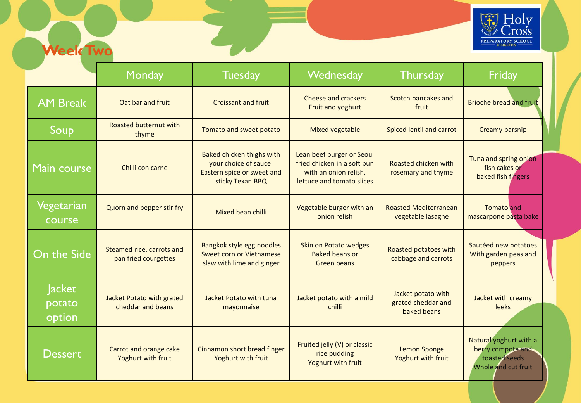

| <b>Week Two</b>                   |                                                                                                                                         |                                                                                                      |                                                                                                                                                              |                                                         | <b>PREPARATORY SCHOOL</b>                                                           |
|-----------------------------------|-----------------------------------------------------------------------------------------------------------------------------------------|------------------------------------------------------------------------------------------------------|--------------------------------------------------------------------------------------------------------------------------------------------------------------|---------------------------------------------------------|-------------------------------------------------------------------------------------|
|                                   | Monday                                                                                                                                  | <b>Tuesday</b>                                                                                       | Wednesday                                                                                                                                                    | <b>Thursday</b>                                         | Friday                                                                              |
| <b>AM Break</b>                   | Oat bar and fruit                                                                                                                       | <b>Croissant and fruit</b>                                                                           | Cheese and crackers<br>Fruit and yoghurt                                                                                                                     | Scotch pancakes and<br>fruit                            | <b>Brioche bread and fruit</b>                                                      |
| Soup                              | Roasted butternut with<br>thyme                                                                                                         | Tomato and sweet potato                                                                              | <b>Mixed vegetable</b>                                                                                                                                       | Spiced lentil and carrot                                | Creamy parsnip                                                                      |
| Main course                       | Chilli con carne                                                                                                                        | Baked chicken thighs with<br>your choice of sauce:<br>Eastern spice or sweet and<br>sticky Texan BBQ | Lean beef burger or Seoul<br>fried chicken in a soft bun<br>Roasted chicken with<br>with an onion relish,<br>rosemary and thyme<br>lettuce and tomato slices |                                                         | Tuna and spring onion<br>fish cakes or<br>baked fish fingers                        |
| Vegetarian<br>course              | Quorn and pepper stir fry                                                                                                               | Mixed bean chilli                                                                                    | Vegetable burger with an<br>onion relish                                                                                                                     | <b>Roasted Mediterranean</b><br>vegetable lasagne       | <b>Tomato</b> and<br>mascarpone pasta bake                                          |
| On the Side                       | Bangkok style egg noodles<br>Steamed rice, carrots and<br>Sweet corn or Vietnamese<br>pan fried courgettes<br>slaw with lime and ginger |                                                                                                      | Skin on Potato wedges<br>Roasted potatoes with<br><b>Baked beans or</b><br>cabbage and carrots<br>Green beans                                                |                                                         | Sautéed new potatoes<br>With garden peas and<br>peppers                             |
| <b>Jacket</b><br>potato<br>option | Jacket Potato with grated<br>cheddar and beans                                                                                          | Jacket Potato with tuna<br>mayonnaise                                                                | Jacket potato with a mild<br>chilli                                                                                                                          | Jacket potato with<br>grated cheddar and<br>baked beans | Jacket with creamy<br>leeks                                                         |
| <b>Dessert</b>                    | Carrot and orange cake<br>Yoghurt with fruit                                                                                            | Cinnamon short bread finger<br>Yoghurt with fruit                                                    | Fruited jelly (V) or classic<br>rice pudding<br>Yoghurt with fruit                                                                                           | <b>Lemon Sponge</b><br>Yoghurt with fruit               | Natural yoghurt with a<br>berry compote and<br>toasted seeds<br>Whole and cut fruit |